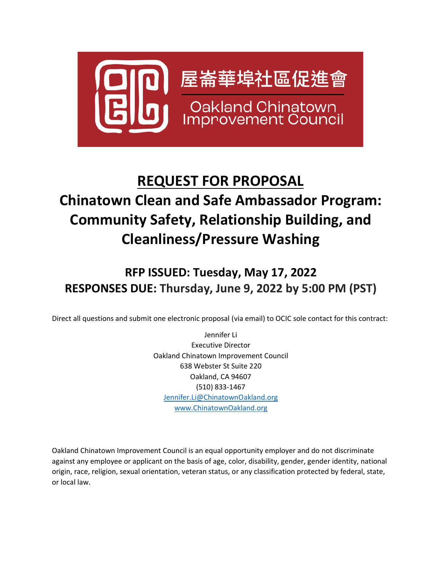

# **REQUEST FOR PROPOSAL Chinatown Clean and Safe Ambassador Program: Community Safety, Relationship Building, and Cleanliness/Pressure Washing**

## **RFP ISSUED: Tuesday, May 17, 2022 RESPONSES DUE: Thursday, June 9, 2022 by 5:00 PM (PST)**

Direct all questions and submit one electronic proposal (via email) to OCIC sole contact for this contract:

Jennifer Li Executive Director Oakland Chinatown Improvement Council 638 Webster St Suite 220 Oakland, CA 94607 (510) 833-1467 [Jennifer.Li@ChinatownOakland.org](mailto:Jennifer.Li@ChinatownOakland.org) [www.ChinatownOakland.org](http://www.chinatownoakland.org/)

Oakland Chinatown Improvement Council is an equal opportunity employer and do not discriminate against any employee or applicant on the basis of age, color, disability, gender, gender identity, national origin, race, religion, sexual orientation, veteran status, or any classification protected by federal, state, or local law.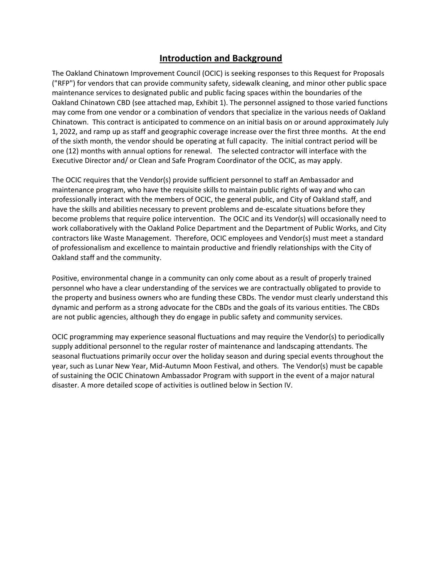## **Introduction and Background**

The Oakland Chinatown Improvement Council (OCIC) is seeking responses to this Request for Proposals ("RFP") for vendors that can provide community safety, sidewalk cleaning, and minor other public space maintenance services to designated public and public facing spaces within the boundaries of the Oakland Chinatown CBD (see attached map, Exhibit 1). The personnel assigned to those varied functions may come from one vendor or a combination of vendors that specialize in the various needs of Oakland Chinatown. This contract is anticipated to commence on an initial basis on or around approximately July 1, 2022, and ramp up as staff and geographic coverage increase over the first three months. At the end of the sixth month, the vendor should be operating at full capacity. The initial contract period will be one (12) months with annual options for renewal. The selected contractor will interface with the Executive Director and/ or Clean and Safe Program Coordinator of the OCIC, as may apply.

The OCIC requires that the Vendor(s) provide sufficient personnel to staff an Ambassador and maintenance program, who have the requisite skills to maintain public rights of way and who can professionally interact with the members of OCIC, the general public, and City of Oakland staff, and have the skills and abilities necessary to prevent problems and de-escalate situations before they become problems that require police intervention. The OCIC and its Vendor(s) will occasionally need to work collaboratively with the Oakland Police Department and the Department of Public Works, and City contractors like Waste Management. Therefore, OCIC employees and Vendor(s) must meet a standard of professionalism and excellence to maintain productive and friendly relationships with the City of Oakland staff and the community.

Positive, environmental change in a community can only come about as a result of properly trained personnel who have a clear understanding of the services we are contractually obligated to provide to the property and business owners who are funding these CBDs. The vendor must clearly understand this dynamic and perform as a strong advocate for the CBDs and the goals of its various entities. The CBDs are not public agencies, although they do engage in public safety and community services.

OCIC programming may experience seasonal fluctuations and may require the Vendor(s) to periodically supply additional personnel to the regular roster of maintenance and landscaping attendants. The seasonal fluctuations primarily occur over the holiday season and during special events throughout the year, such as Lunar New Year, Mid-Autumn Moon Festival, and others. The Vendor(s) must be capable of sustaining the OCIC Chinatown Ambassador Program with support in the event of a major natural disaster. A more detailed scope of activities is outlined below in Section IV.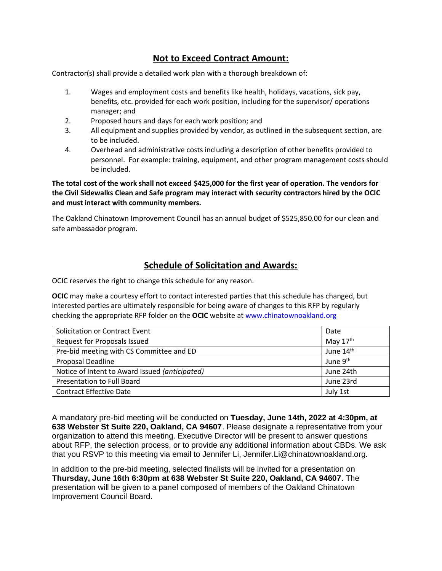## **Not to Exceed Contract Amount:**

Contractor(s) shall provide a detailed work plan with a thorough breakdown of:

- 1. Wages and employment costs and benefits like health, holidays, vacations, sick pay, benefits, etc. provided for each work position, including for the supervisor/ operations manager; and
- 2. Proposed hours and days for each work position; and
- 3. All equipment and supplies provided by vendor, as outlined in the subsequent section, are to be included.
- 4. Overhead and administrative costs including a description of other benefits provided to personnel. For example: training, equipment, and other program management costs should be included.

**The total cost of the work shall not exceed \$425,000 for the first year of operation. The vendors for the Civil Sidewalks Clean and Safe program may interact with security contractors hired by the OCIC and must interact with community members.**

The Oakland Chinatown Improvement Council has an annual budget of \$525,850.00 for our clean and safe ambassador program.

## **Schedule of Solicitation and Awards:**

OCIC reserves the right to change this schedule for any reason.

**OCIC** may make a courtesy effort to contact interested parties that this schedule has changed, but interested parties are ultimately responsible for being aware of changes to this RFP by regularly checking the appropriate RFP folder on the **OCIC** website at www.chinatownoakland.org

| Solicitation or Contract Event                 | Date       |
|------------------------------------------------|------------|
| Request for Proposals Issued                   | May $17th$ |
| Pre-bid meeting with CS Committee and ED       | June 14th  |
| Proposal Deadline                              | June 9th   |
| Notice of Intent to Award Issued (anticipated) | June 24th  |
| Presentation to Full Board                     | June 23rd  |
| <b>Contract Effective Date</b>                 | July 1st   |

A mandatory pre-bid meeting will be conducted on **Tuesday, June 14th, 2022 at 4:30pm, at 638 Webster St Suite 220, Oakland, CA 94607**. Please designate a representative from your organization to attend this meeting. Executive Director will be present to answer questions about RFP, the selection process, or to provide any additional information about CBDs. We ask that you RSVP to this meeting via email to Jennifer Li, Jennifer.Li@chinatownoakland.org.

In addition to the pre-bid meeting, selected finalists will be invited for a presentation on **Thursday, June 16th 6:30pm at 638 Webster St Suite 220, Oakland, CA 94607**. The presentation will be given to a panel composed of members of the Oakland Chinatown Improvement Council Board.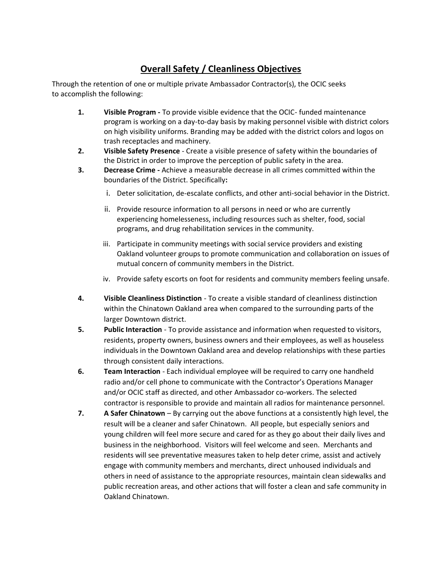## **Overall Safety / Cleanliness Objectives**

Through the retention of one or multiple private Ambassador Contractor(s), the OCIC seeks to accomplish the following:

- **1. Visible Program -** To provide visible evidence that the OCIC- funded maintenance program is working on a day-to-day basis by making personnel visible with district colors on high visibility uniforms. Branding may be added with the district colors and logos on trash receptacles and machinery.
- **2. Visible Safety Presence** Create a visible presence of safety within the boundaries of the District in order to improve the perception of public safety in the area.
- **3. Decrease Crime -** Achieve a measurable decrease in all crimes committed within the boundaries of the District. Specifically**:**
	- i. Deter solicitation, de-escalate conflicts, and other anti-social behavior in the District.
	- ii. Provide resource information to all persons in need or who are currently experiencing homelesseness, including resources such as shelter, food, social programs, and drug rehabilitation services in the community.
	- iii. Participate in community meetings with social service providers and existing Oakland volunteer groups to promote communication and collaboration on issues of mutual concern of community members in the District.
	- iv. Provide safety escorts on foot for residents and community members feeling unsafe.
- **4. Visible Cleanliness Distinction** To create a visible standard of cleanliness distinction within the Chinatown Oakland area when compared to the surrounding parts of the larger Downtown district.
- **5. Public Interaction** To provide assistance and information when requested to visitors, residents, property owners, business owners and their employees, as well as houseless individuals in the Downtown Oakland area and develop relationships with these parties through consistent daily interactions.
- **6. Team Interaction** Each individual employee will be required to carry one handheld radio and/or cell phone to communicate with the Contractor's Operations Manager and/or OCIC staff as directed, and other Ambassador co-workers. The selected contractor is responsible to provide and maintain all radios for maintenance personnel.
- **7. A Safer Chinatown**  By carrying out the above functions at a consistently high level, the result will be a cleaner and safer Chinatown. All people, but especially seniors and young children will feel more secure and cared for as they go about their daily lives and business in the neighborhood. Visitors will feel welcome and seen. Merchants and residents will see preventative measures taken to help deter crime, assist and actively engage with community members and merchants, direct unhoused individuals and others in need of assistance to the appropriate resources, maintain clean sidewalks and public recreation areas, and other actions that will foster a clean and safe community in Oakland Chinatown.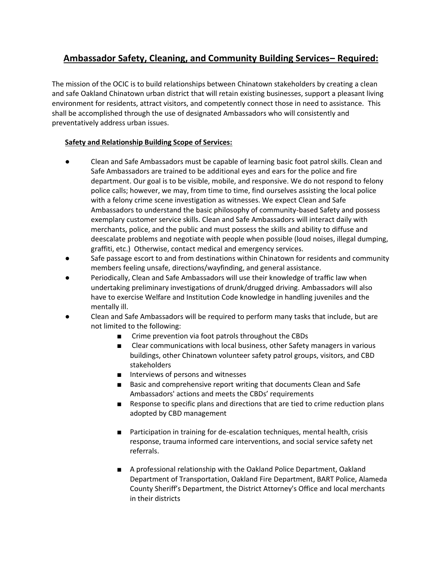## **Ambassador Safety, Cleaning, and Community Building Services– Required:**

The mission of the OCIC is to build relationships between Chinatown stakeholders by creating a clean and safe Oakland Chinatown urban district that will retain existing businesses, support a pleasant living environment for residents, attract visitors, and competently connect those in need to assistance. This shall be accomplished through the use of designated Ambassadors who will consistently and preventatively address urban issues.

#### **Safety and Relationship Building Scope of Services:**

- Clean and Safe Ambassadors must be capable of learning basic foot patrol skills. Clean and Safe Ambassadors are trained to be additional eyes and ears for the police and fire department. Our goal is to be visible, mobile, and responsive. We do not respond to felony police calls; however, we may, from time to time, find ourselves assisting the local police with a felony crime scene investigation as witnesses. We expect Clean and Safe Ambassadors to understand the basic philosophy of community-based Safety and possess exemplary customer service skills. Clean and Safe Ambassadors will interact daily with merchants, police, and the public and must possess the skills and ability to diffuse and deescalate problems and negotiate with people when possible (loud noises, illegal dumping, graffiti, etc.) Otherwise, contact medical and emergency services.
- Safe passage escort to and from destinations within Chinatown for residents and community members feeling unsafe, directions/wayfinding, and general assistance.
- Periodically, Clean and Safe Ambassadors will use their knowledge of traffic law when undertaking preliminary investigations of drunk/drugged driving. Ambassadors will also have to exercise Welfare and Institution Code knowledge in handling juveniles and the mentally ill.
- Clean and Safe Ambassadors will be required to perform many tasks that include, but are not limited to the following:
	- Crime prevention via foot patrols throughout the CBDs
	- Clear communications with local business, other Safety managers in various buildings, other Chinatown volunteer safety patrol groups, visitors, and CBD stakeholders
	- Interviews of persons and witnesses
	- Basic and comprehensive report writing that documents Clean and Safe Ambassadors' actions and meets the CBDs' requirements
	- Response to specific plans and directions that are tied to crime reduction plans adopted by CBD management
	- Participation in training for de-escalation techniques, mental health, crisis response, trauma informed care interventions, and social service safety net referrals.
	- A professional relationship with the Oakland Police Department, Oakland Department of Transportation, Oakland Fire Department, BART Police, Alameda County Sheriff's Department, the District Attorney's Office and local merchants in their districts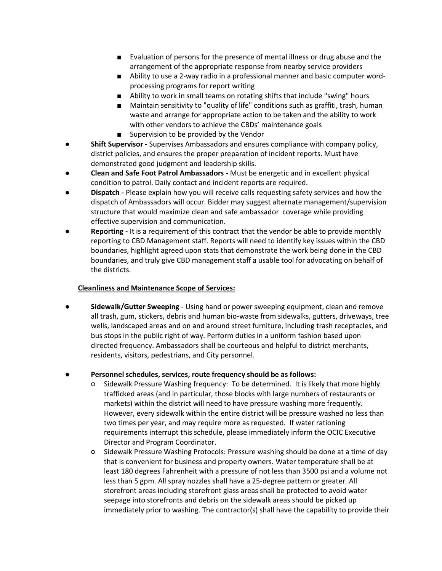- Evaluation of persons for the presence of mental illness or drug abuse and the arrangement of the appropriate response from nearby service providers
- Ability to use a 2-way radio in a professional manner and basic computer wordprocessing programs for report writing
- Ability to work in small teams on rotating shifts that include "swing" hours
- Maintain sensitivity to "quality of life" conditions such as graffiti, trash, human waste and arrange for appropriate action to be taken and the ability to work with other vendors to achieve the CBDs' maintenance goals
- Supervision to be provided by the Vendor
- **Shift Supervisor -** Supervises Ambassadors and ensures compliance with company policy, district policies, and ensures the proper preparation of incident reports. Must have demonstrated good judgment and leadership skills.
- **Clean and Safe Foot Patrol Ambassadors -** Must be energetic and in excellent physical condition to patrol. Daily contact and incident reports are required.
- **Dispatch -** Please explain how you will receive calls requesting safety services and how the dispatch of Ambassadors will occur. Bidder may suggest alternate management/supervision structure that would maximize clean and safe ambassador coverage while providing effective supervision and communication.
- **Reporting -** It is a requirement of this contract that the vendor be able to provide monthly reporting to CBD Management staff. Reports will need to identify key issues within the CBD boundaries, highlight agreed upon stats that demonstrate the work being done in the CBD boundaries, and truly give CBD management staff a usable tool for advocating on behalf of the districts.

#### **Cleanliness and Maintenance Scope of Services:**

**Sidewalk/Gutter Sweeping** - Using hand or power sweeping equipment, clean and remove all trash, gum, stickers, debris and human bio-waste from sidewalks, gutters, driveways, tree wells, landscaped areas and on and around street furniture, including trash receptacles, and bus stops in the public right of way. Perform duties in a uniform fashion based upon directed frequency. Ambassadors shall be courteous and helpful to district merchants, residents, visitors, pedestrians, and City personnel.

#### Personnel schedules, services, route frequency should be as follows:

- Sidewalk Pressure Washing frequency: To be determined. It is likely that more highly trafficked areas (and in particular, those blocks with large numbers of restaurants or markets) within the district will need to have pressure washing more frequently. However, every sidewalk within the entire district will be pressure washed no less than two times per year, and may require more as requested. If water rationing requirements interrupt this schedule, please immediately inform the OCIC Executive Director and Program Coordinator.
- Sidewalk Pressure Washing Protocols: Pressure washing should be done at a time of day that is convenient for business and property owners. Water temperature shall be at least 180 degrees Fahrenheit with a pressure of not less than 3500 psi and a volume not less than 5 gpm. All spray nozzles shall have a 25-degree pattern or greater. All storefront areas including storefront glass areas shall be protected to avoid water seepage into storefronts and debris on the sidewalk areas should be picked up immediately prior to washing. The contractor(s) shall have the capability to provide their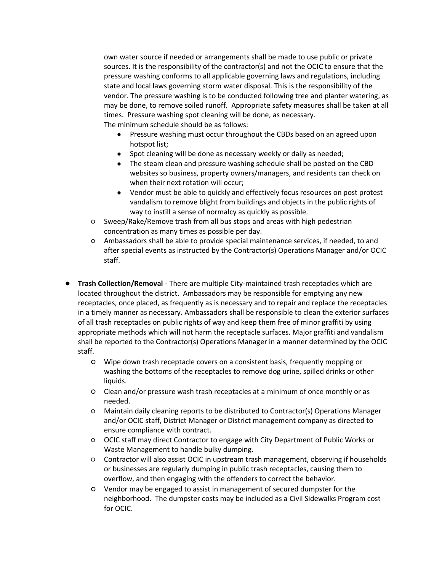own water source if needed or arrangements shall be made to use public or private sources. It is the responsibility of the contractor(s) and not the OCIC to ensure that the pressure washing conforms to all applicable governing laws and regulations, including state and local laws governing storm water disposal. This is the responsibility of the vendor. The pressure washing is to be conducted following tree and planter watering, as may be done, to remove soiled runoff. Appropriate safety measures shall be taken at all times. Pressure washing spot cleaning will be done, as necessary.

The minimum schedule should be as follows:

- Pressure washing must occur throughout the CBDs based on an agreed upon hotspot list;
- Spot cleaning will be done as necessary weekly or daily as needed;
- The steam clean and pressure washing schedule shall be posted on the CBD websites so business, property owners/managers, and residents can check on when their next rotation will occur;
- Vendor must be able to quickly and effectively focus resources on post protest vandalism to remove blight from buildings and objects in the public rights of way to instill a sense of normalcy as quickly as possible.
- Sweep/Rake/Remove trash from all bus stops and areas with high pedestrian concentration as many times as possible per day.
- Ambassadors shall be able to provide special maintenance services, if needed, to and after special events as instructed by the Contractor(s) Operations Manager and/or OCIC staff.
- **Trash Collection/Removal** There are multiple City-maintained trash receptacles which are located throughout the district. Ambassadors may be responsible for emptying any new receptacles, once placed, as frequently as is necessary and to repair and replace the receptacles in a timely manner as necessary. Ambassadors shall be responsible to clean the exterior surfaces of all trash receptacles on public rights of way and keep them free of minor graffiti by using appropriate methods which will not harm the receptacle surfaces. Major graffiti and vandalism shall be reported to the Contractor(s) Operations Manager in a manner determined by the OCIC staff.
	- Wipe down trash receptacle covers on a consistent basis, frequently mopping or washing the bottoms of the receptacles to remove dog urine, spilled drinks or other liquids.
	- Clean and/or pressure wash trash receptacles at a minimum of once monthly or as needed.
	- Maintain daily cleaning reports to be distributed to Contractor(s) Operations Manager and/or OCIC staff, District Manager or District management company as directed to ensure compliance with contract.
	- OCIC staff may direct Contractor to engage with City Department of Public Works or Waste Management to handle bulky dumping.
	- Contractor will also assist OCIC in upstream trash management, observing if households or businesses are regularly dumping in public trash receptacles, causing them to overflow, and then engaging with the offenders to correct the behavior.
	- Vendor may be engaged to assist in management of secured dumpster for the neighborhood. The dumpster costs may be included as a Civil Sidewalks Program cost for OCIC.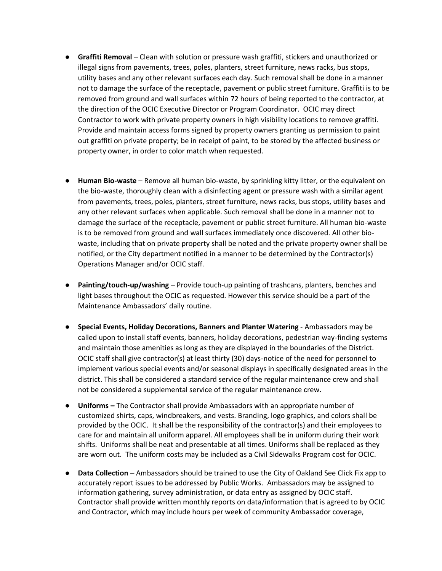- **Graffiti Removal** Clean with solution or pressure wash graffiti, stickers and unauthorized or illegal signs from pavements, trees, poles, planters, street furniture, news racks, bus stops, utility bases and any other relevant surfaces each day. Such removal shall be done in a manner not to damage the surface of the receptacle, pavement or public street furniture. Graffiti is to be removed from ground and wall surfaces within 72 hours of being reported to the contractor, at the direction of the OCIC Executive Director or Program Coordinator. OCIC may direct Contractor to work with private property owners in high visibility locations to remove graffiti. Provide and maintain access forms signed by property owners granting us permission to paint out graffiti on private property; be in receipt of paint, to be stored by the affected business or property owner, in order to color match when requested.
- **Human Bio-waste** Remove all human bio-waste, by sprinkling kitty litter, or the equivalent on the bio-waste, thoroughly clean with a disinfecting agent or pressure wash with a similar agent from pavements, trees, poles, planters, street furniture, news racks, bus stops, utility bases and any other relevant surfaces when applicable. Such removal shall be done in a manner not to damage the surface of the receptacle, pavement or public street furniture. All human bio-waste is to be removed from ground and wall surfaces immediately once discovered. All other biowaste, including that on private property shall be noted and the private property owner shall be notified, or the City department notified in a manner to be determined by the Contractor(s) Operations Manager and/or OCIC staff.
- **Painting/touch-up/washing** Provide touch-up painting of trashcans, planters, benches and light bases throughout the OCIC as requested. However this service should be a part of the Maintenance Ambassadors' daily routine.
- **Special Events, Holiday Decorations, Banners and Planter Watering** Ambassadors may be called upon to install staff events, banners, holiday decorations, pedestrian way-finding systems and maintain those amenities as long as they are displayed in the boundaries of the District. OCIC staff shall give contractor(s) at least thirty (30) days-notice of the need for personnel to implement various special events and/or seasonal displays in specifically designated areas in the district. This shall be considered a standard service of the regular maintenance crew and shall not be considered a supplemental service of the regular maintenance crew.
- **Uniforms –** The Contractor shall provide Ambassadors with an appropriate number of customized shirts, caps, windbreakers, and vests. Branding, logo graphics, and colors shall be provided by the OCIC. It shall be the responsibility of the contractor(s) and their employees to care for and maintain all uniform apparel. All employees shall be in uniform during their work shifts. Uniforms shall be neat and presentable at all times. Uniforms shall be replaced as they are worn out. The uniform costs may be included as a Civil Sidewalks Program cost for OCIC.
- **Data Collection** Ambassadors should be trained to use the City of Oakland See Click Fix app to accurately report issues to be addressed by Public Works. Ambassadors may be assigned to information gathering, survey administration, or data entry as assigned by OCIC staff. Contractor shall provide written monthly reports on data/information that is agreed to by OCIC and Contractor, which may include hours per week of community Ambassador coverage,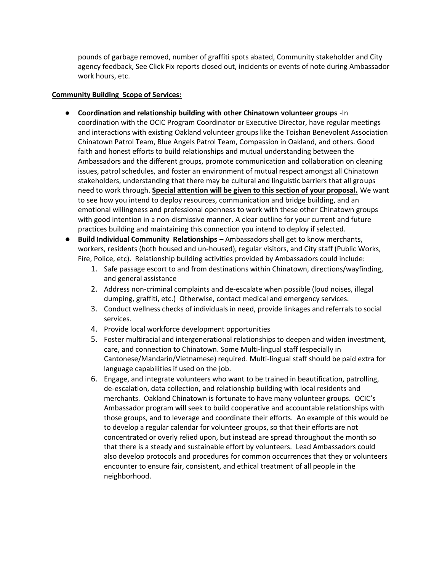pounds of garbage removed, number of graffiti spots abated, Community stakeholder and City agency feedback, See Click Fix reports closed out, incidents or events of note during Ambassador work hours, etc.

#### **Community Building Scope of Services:**

- **Coordination and relationship building with other Chinatown volunteer groups** -In coordination with the OCIC Program Coordinator or Executive Director, have regular meetings and interactions with existing Oakland volunteer groups like the Toishan Benevolent Association Chinatown Patrol Team, Blue Angels Patrol Team, Compassion in Oakland, and others. Good faith and honest efforts to build relationships and mutual understanding between the Ambassadors and the different groups, promote communication and collaboration on cleaning issues, patrol schedules, and foster an environment of mutual respect amongst all Chinatown stakeholders, understanding that there may be cultural and linguistic barriers that all groups need to work through. **Special attention will be given to this section of your proposal.** We want to see how you intend to deploy resources, communication and bridge building, and an emotional willingness and professional openness to work with these other Chinatown groups with good intention in a non-dismissive manner. A clear outline for your current and future practices building and maintaining this connection you intend to deploy if selected.
- **Build Individual Community Relationships –** Ambassadors shall get to know merchants, workers, residents (both housed and un-housed), regular visitors, and City staff (Public Works, Fire, Police, etc). Relationship building activities provided by Ambassadors could include:
	- 1. Safe passage escort to and from destinations within Chinatown, directions/wayfinding, and general assistance
	- 2. Address non-criminal complaints and de-escalate when possible (loud noises, illegal dumping, graffiti, etc.) Otherwise, contact medical and emergency services.
	- 3. Conduct wellness checks of individuals in need, provide linkages and referrals to social services.
	- 4. Provide local workforce development opportunities
	- 5. Foster multiracial and intergenerational relationships to deepen and widen investment, care, and connection to Chinatown. Some Multi-lingual staff (especially in Cantonese/Mandarin/Vietnamese) required. Multi-lingual staff should be paid extra for language capabilities if used on the job.
	- 6. Engage, and integrate volunteers who want to be trained in beautification, patrolling, de-escalation, data collection, and relationship building with local residents and merchants. Oakland Chinatown is fortunate to have many volunteer groups. OCIC's Ambassador program will seek to build cooperative and accountable relationships with those groups, and to leverage and coordinate their efforts. An example of this would be to develop a regular calendar for volunteer groups, so that their efforts are not concentrated or overly relied upon, but instead are spread throughout the month so that there is a steady and sustainable effort by volunteers. Lead Ambassadors could also develop protocols and procedures for common occurrences that they or volunteers encounter to ensure fair, consistent, and ethical treatment of all people in the neighborhood.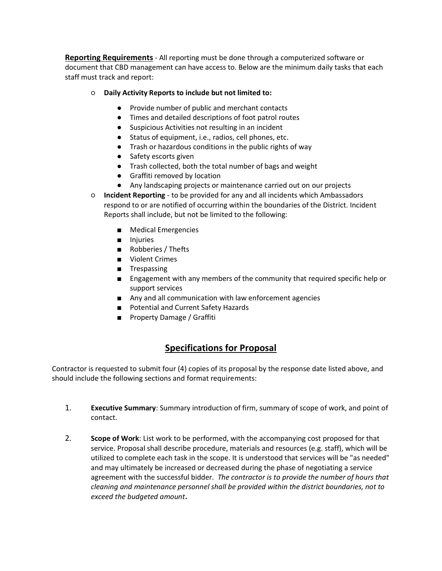**Reporting Requirements** - All reporting must be done through a computerized software or document that CBD management can have access to. Below are the minimum daily tasks that each staff must track and report:

#### ○ **Daily Activity Reports to include but not limited to:**

- Provide number of public and merchant contacts
- Times and detailed descriptions of foot patrol routes
- Suspicious Activities not resulting in an incident
- Status of equipment, i.e., radios, cell phones, etc.
- Trash or hazardous conditions in the public rights of way
- Safety escorts given
- Trash collected, both the total number of bags and weight
- Graffiti removed by location
- Any landscaping projects or maintenance carried out on our projects
- **Incident Reporting**  to be provided for any and all incidents which Ambassadors respond to or are notified of occurring within the boundaries of the District. Incident Reports shall include, but not be limited to the following:
	- Medical Emergencies
	- Injuries
	- Robberies / Thefts
	- Violent Crimes
	- Trespassing
	- Engagement with any members of the community that required specific help or support services
	- Any and all communication with law enforcement agencies
	- Potential and Current Safety Hazards
	- Property Damage / Graffiti

## **Specifications for Proposal**

Contractor is requested to submit four (4) copies of its proposal by the response date listed above, and should include the following sections and format requirements:

- 1. **Executive Summary**: Summary introduction of firm, summary of scope of work, and point of contact.
- 2. **Scope of Work**: List work to be performed, with the accompanying cost proposed for that service. Proposal shall describe procedure, materials and resources (e.g. staff), which will be utilized to complete each task in the scope. It is understood that services will be "as needed" and may ultimately be increased or decreased during the phase of negotiating a service agreement with the successful bidder. *The contractor is to provide the number of hours that cleaning and maintenance personnel shall be provided within the district boundaries, not to exceed the budgeted amount***.**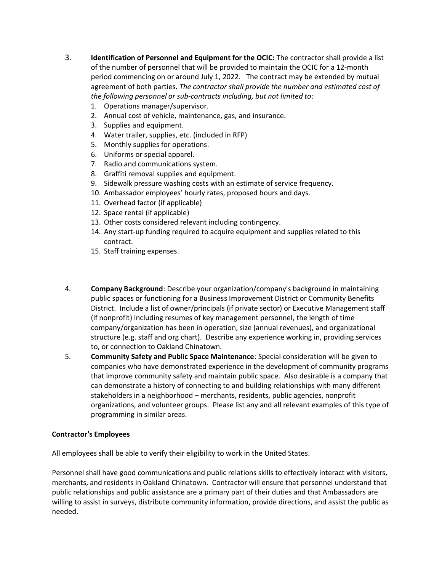- 3. **Identification of Personnel and Equipment for the OCIC:** The contractor shall provide a list of the number of personnel that will be provided to maintain the OCIC for a 12-month period commencing on or around July 1, 2022. The contract may be extended by mutual agreement of both parties. *The contractor shall provide the number and estimated cost of the following personnel or sub-contracts including, but not limited to:*
	- 1. Operations manager/supervisor.
	- 2. Annual cost of vehicle, maintenance, gas, and insurance.
	- 3. Supplies and equipment.
	- 4. Water trailer, supplies, etc. (included in RFP)
	- 5. Monthly supplies for operations.
	- 6. Uniforms or special apparel.
	- 7. Radio and communications system.
	- 8. Graffiti removal supplies and equipment.
	- 9. Sidewalk pressure washing costs with an estimate of service frequency.
	- 10. Ambassador employees' hourly rates, proposed hours and days.
	- 11. Overhead factor (if applicable)
	- 12. Space rental (if applicable)
	- 13. Other costs considered relevant including contingency.
	- 14. Any start-up funding required to acquire equipment and supplies related to this contract.
	- 15. Staff training expenses.
- 4. **Company Background**: Describe your organization/company's background in maintaining public spaces or functioning for a Business Improvement District or Community Benefits District. Include a list of owner/principals (if private sector) or Executive Management staff (if nonprofit) including resumes of key management personnel, the length of time company/organization has been in operation, size (annual revenues), and organizational structure (e.g. staff and org chart). Describe any experience working in, providing services to, or connection to Oakland Chinatown.
- 5. **Community Safety and Public Space Maintenance**: Special consideration will be given to companies who have demonstrated experience in the development of community programs that improve community safety and maintain public space. Also desirable is a company that can demonstrate a history of connecting to and building relationships with many different stakeholders in a neighborhood – merchants, residents, public agencies, nonprofit organizations, and volunteer groups. Please list any and all relevant examples of this type of programming in similar areas.

#### **Contractor's Employees**

All employees shall be able to verify their eligibility to work in the United States.

Personnel shall have good communications and public relations skills to effectively interact with visitors, merchants, and residents in Oakland Chinatown. Contractor will ensure that personnel understand that public relationships and public assistance are a primary part of their duties and that Ambassadors are willing to assist in surveys, distribute community information, provide directions, and assist the public as needed.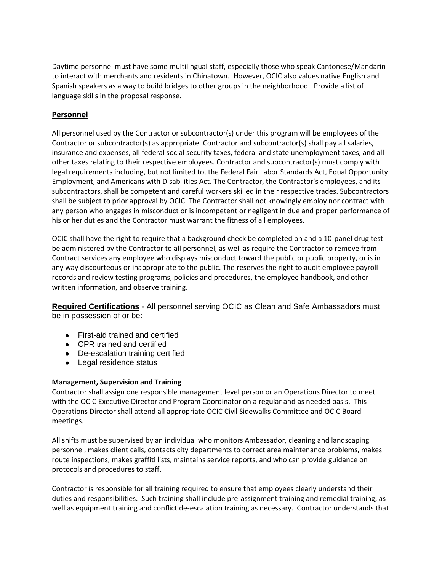Daytime personnel must have some multilingual staff, especially those who speak Cantonese/Mandarin to interact with merchants and residents in Chinatown. However, OCIC also values native English and Spanish speakers as a way to build bridges to other groups in the neighborhood. Provide a list of language skills in the proposal response.

#### **Personnel**

All personnel used by the Contractor or subcontractor(s) under this program will be employees of the Contractor or subcontractor(s) as appropriate. Contractor and subcontractor(s) shall pay all salaries, insurance and expenses, all federal social security taxes, federal and state unemployment taxes, and all other taxes relating to their respective employees. Contractor and subcontractor(s) must comply with legal requirements including, but not limited to, the Federal Fair Labor Standards Act, Equal Opportunity Employment, and Americans with Disabilities Act. The Contractor, the Contractor's employees, and its subcontractors, shall be competent and careful workers skilled in their respective trades. Subcontractors shall be subject to prior approval by OCIC. The Contractor shall not knowingly employ nor contract with any person who engages in misconduct or is incompetent or negligent in due and proper performance of his or her duties and the Contractor must warrant the fitness of all employees.

OCIC shall have the right to require that a background check be completed on and a 10-panel drug test be administered by the Contractor to all personnel, as well as require the Contractor to remove from Contract services any employee who displays misconduct toward the public or public property, or is in any way discourteous or inappropriate to the public. The reserves the right to audit employee payroll records and review testing programs, policies and procedures, the employee handbook, and other written information, and observe training.

**Required Certifications** - All personnel serving OCIC as Clean and Safe Ambassadors must be in possession of or be:

- First-aid trained and certified
- CPR trained and certified
- De-escalation training certified
- Legal residence status

#### **Management, Supervision and Training**

Contractor shall assign one responsible management level person or an Operations Director to meet with the OCIC Executive Director and Program Coordinator on a regular and as needed basis. This Operations Director shall attend all appropriate OCIC Civil Sidewalks Committee and OCIC Board meetings.

All shifts must be supervised by an individual who monitors Ambassador, cleaning and landscaping personnel, makes client calls, contacts city departments to correct area maintenance problems, makes route inspections, makes graffiti lists, maintains service reports, and who can provide guidance on protocols and procedures to staff.

Contractor is responsible for all training required to ensure that employees clearly understand their duties and responsibilities. Such training shall include pre-assignment training and remedial training, as well as equipment training and conflict de-escalation training as necessary. Contractor understands that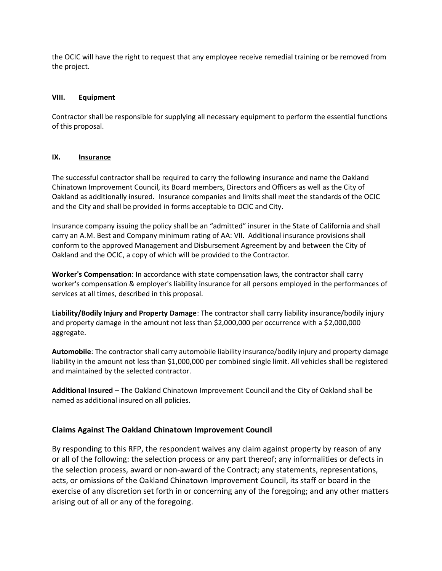the OCIC will have the right to request that any employee receive remedial training or be removed from the project.

#### **VIII. Equipment**

Contractor shall be responsible for supplying all necessary equipment to perform the essential functions of this proposal.

#### **IX. Insurance**

The successful contractor shall be required to carry the following insurance and name the Oakland Chinatown Improvement Council, its Board members, Directors and Officers as well as the City of Oakland as additionally insured. Insurance companies and limits shall meet the standards of the OCIC and the City and shall be provided in forms acceptable to OCIC and City.

Insurance company issuing the policy shall be an "admitted" insurer in the State of California and shall carry an A.M. Best and Company minimum rating of AA: VII. Additional insurance provisions shall conform to the approved Management and Disbursement Agreement by and between the City of Oakland and the OCIC, a copy of which will be provided to the Contractor.

**Worker's Compensation**: In accordance with state compensation laws, the contractor shall carry worker's compensation & employer's liability insurance for all persons employed in the performances of services at all times, described in this proposal.

**Liability/Bodily Injury and Property Damage**: The contractor shall carry liability insurance/bodily injury and property damage in the amount not less than \$2,000,000 per occurrence with a \$2,000,000 aggregate.

**Automobile**: The contractor shall carry automobile liability insurance/bodily injury and property damage liability in the amount not less than \$1,000,000 per combined single limit. All vehicles shall be registered and maintained by the selected contractor.

**Additional Insured** – The Oakland Chinatown Improvement Council and the City of Oakland shall be named as additional insured on all policies.

#### **Claims Against The Oakland Chinatown Improvement Council**

By responding to this RFP, the respondent waives any claim against property by reason of any or all of the following: the selection process or any part thereof; any informalities or defects in the selection process, award or non-award of the Contract; any statements, representations, acts, or omissions of the Oakland Chinatown Improvement Council, its staff or board in the exercise of any discretion set forth in or concerning any of the foregoing; and any other matters arising out of all or any of the foregoing.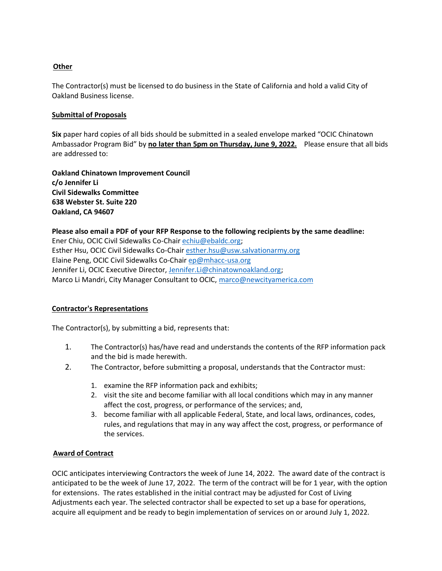#### **Other**

The Contractor(s) must be licensed to do business in the State of California and hold a valid City of Oakland Business license.

#### **Submittal of Proposals**

**Six** paper hard copies of all bids should be submitted in a sealed envelope marked "OCIC Chinatown Ambassador Program Bid" by **no later than 5pm on Thursday, June 9, 2022.** Please ensure that all bids are addressed to:

**Oakland Chinatown Improvement Council c/o Jennifer Li Civil Sidewalks Committee 638 Webster St. Suite 220 Oakland, CA 94607**

**Please also email a PDF of your RFP Response to the following recipients by the same deadline:** Ener Chiu, OCIC Civil Sidewalks Co-Chai[r echiu@ebaldc.org;](mailto:echiu@ebaldc.org) Esther Hsu, OCIC Civil Sidewalks Co-Chai[r esther.hsu@usw.salvationarmy.org](mailto:esther.hsu@usw.salvationarmy.org) Elaine Peng, OCIC Civil Sidewalks Co-Chair [ep@mhacc-usa.org](mailto:ep@mhacc-usa.org) Jennifer Li, OCIC Executive Director, [Jennifer.Li@chinatownoakland.org;](mailto:Jennifer.Li@chinatownoakland.org) Marco Li Mandri, City Manager Consultant to OCIC, [marco@newcityamerica.com](mailto:marco@newcityamerica.com)

#### **Contractor's Representations**

The Contractor(s), by submitting a bid, represents that:

- 1. The Contractor(s) has/have read and understands the contents of the RFP information pack and the bid is made herewith.
- 2. The Contractor, before submitting a proposal, understands that the Contractor must:
	- 1. examine the RFP information pack and exhibits;
	- 2. visit the site and become familiar with all local conditions which may in any manner affect the cost, progress, or performance of the services; and,
	- 3. become familiar with all applicable Federal, State, and local laws, ordinances, codes, rules, and regulations that may in any way affect the cost, progress, or performance of the services.

#### **Award of Contract**

OCIC anticipates interviewing Contractors the week of June 14, 2022. The award date of the contract is anticipated to be the week of June 17, 2022. The term of the contract will be for 1 year, with the option for extensions. The rates established in the initial contract may be adjusted for Cost of Living Adjustments each year. The selected contractor shall be expected to set up a base for operations, acquire all equipment and be ready to begin implementation of services on or around July 1, 2022.